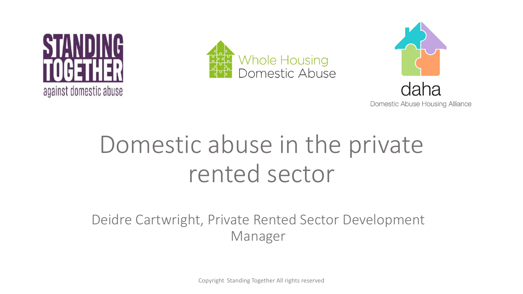





**Domestic Abuse Housing Alliance** 

# Domestic abuse in the private rented sector

Deidre Cartwright, Private Rented Sector Development Manager

Copyright Standing Together All rights reserved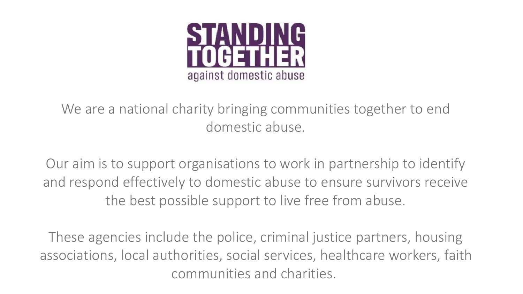

We are a national charity bringing communities together to end domestic abuse.

Our aim is to support organisations to work in partnership to identify and respond effectively to domestic abuse to ensure survivors receive the best possible support to live free from abuse.

These agencies include the police, criminal justice partners, housing associations, local authorities, social services, healthcare workers, faith communities and charities.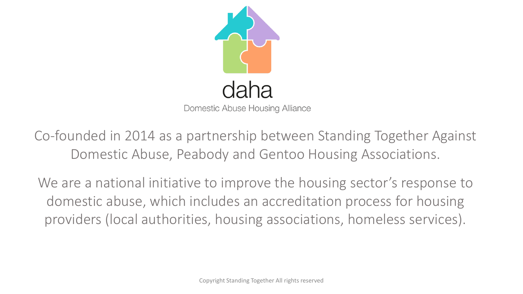

Domestic Abuse Housing Alliance

Co-founded in 2014 as a partnership between Standing Together Against Domestic Abuse, Peabody and Gentoo Housing Associations.

We are a national initiative to improve the housing sector's response to domestic abuse, which includes an accreditation process for housing providers (local authorities, housing associations, homeless services).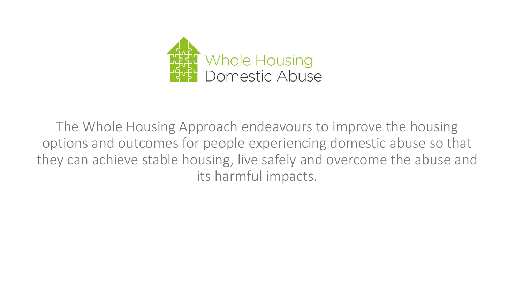

The Whole Housing Approach endeavours to improve the housing options and outcomes for people experiencing domestic abuse so that they can achieve stable housing, live safely and overcome the abuse and its harmful impacts.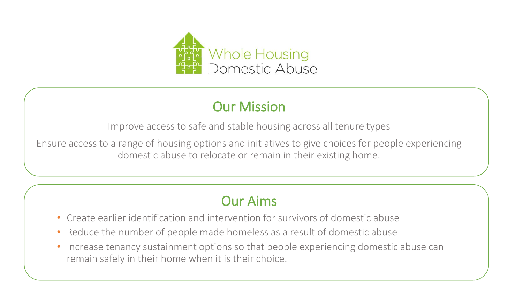

#### Our Mission

Improve access to safe and stable housing across all tenure types

Ensure access to a range of housing options and initiatives to give choices for people experiencing domestic abuse to relocate or remain in their existing home.

#### Our Aims

- Create earlier identification and intervention for survivors of domestic abuse
- Reduce the number of people made homeless as a result of domestic abuse
- Increase tenancy sustainment options so that people experiencing domestic abuse can remain safely in their home when it is their choice.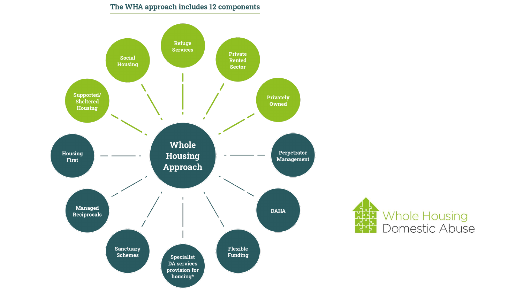#### The WHA approach includes 12 components



Whole Housing<br>Domestic Abuse ᢧᡫᡫᡃ<br>ᢪᢧᡶᢩᡘ ילי<br>הלי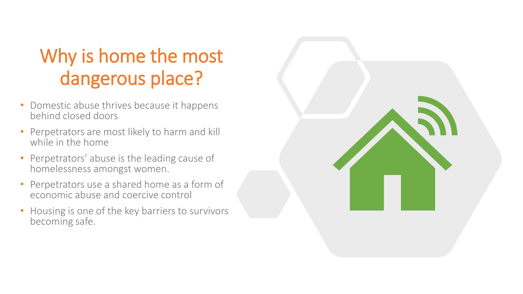### Why is home the most dangerous place?

- Domestic abuse thrives because it happens behind closed doors
- Perpetrators are most likely to harm and kill while in the home
- Perpetrators' abuse is the leading cause of homelessness amongst women.
- Perpetrators use a shared home as a form of economic abuse and coercive control
- Housing is one of the key barriers to survivors becoming safe.

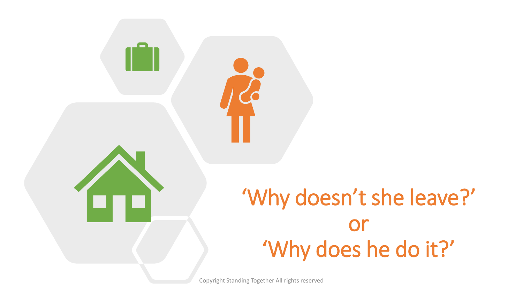

# 'Why doesn't she leave?' or 'Why does he do it?'

Copyright Standing Together All rights reserved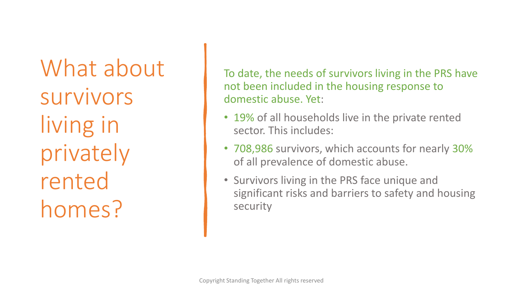What about survivors living in privately rented homes?

To date, the needs of survivors living in the PRS have not been included in the housing response to domestic abuse. Yet:

- 19% of all households live in the private rented sector. This includes:
- 708,986 survivors, which accounts for nearly 30% of all prevalence of domestic abuse.
- Survivors living in the PRS face unique and significant risks and barriers to safety and housing security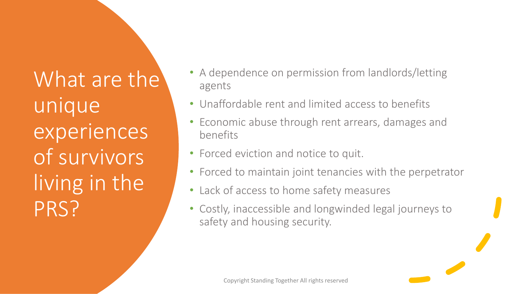What are the unique experiences of survivors living in the PRS?

- A dependence on permission from landlords/letting agents
- Unaffordable rent and limited access to benefits
- Economic abuse through rent arrears, damages and benefits
- Forced eviction and notice to quit.
- Forced to maintain joint tenancies with the perpetrator
- Lack of access to home safety measures
- Costly, inaccessible and longwinded legal journeys to safety and housing security.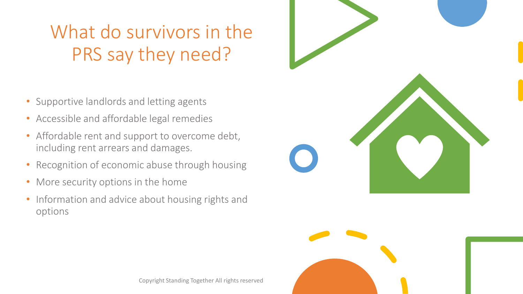## What do survivors in the PRS say they need?

- Supportive landlords and letting agents
- Accessible and affordable legal remedies
- Affordable rent and support to overcome debt, including rent arrears and damages.
- Recognition of economic abuse through housing
- More security options in the home
- Information and advice about housing rights and options





Copyright Standing Together All rights reserved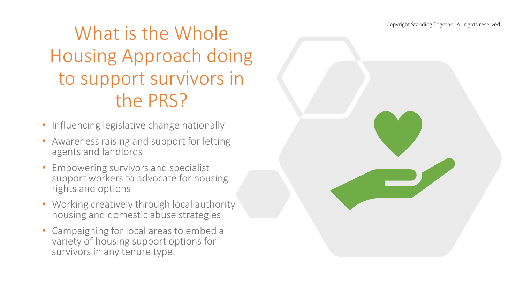Copyright Standing Together All rights reserved

#### What is the Whole Housing Approach doing to support survivors in the PRS?

- Influencing legislative change nationally
- Awareness raising and support for letting agents and landlords
- Empowering survivors and specialist support workers to advocate for housing rights and options
- Working creatively through local authority housing and domestic abuse strategies
- Campaigning for local areas to embed a variety of housing support options for survivors in any tenure type.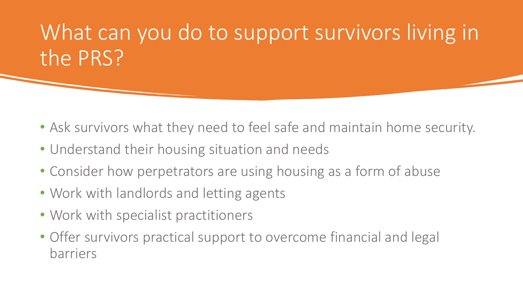# What can you do to support survivors living in the PRS?

- Ask survivors what they need to feel safe and maintain home security.
- Understand their housing situation and needs
- Consider how perpetrators are using housing as a form of abuse
- Work with landlords and letting agents
- Work with specialist practitioners
- Offer survivors practical support to overcome financial and legal barriers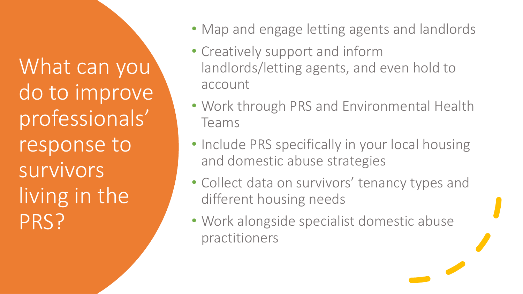What can you do to improve professionals' response to survivors living in the PRS?

- Map and engage letting agents and landlords
- Creatively support and inform landlords/letting agents, and even hold to account
- Work through PRS and Environmental Health Teams
- Include PRS specifically in your local housing and domestic abuse strategies
- Collect data on survivors' tenancy types and different housing needs
- Work alongside specialist domestic abuse practitioners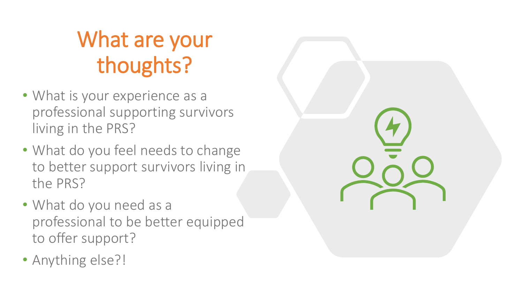# What are your thoughts?

- What is your experience as a professional supporting survivors living in the PRS?
- What do you feel needs to change to better support survivors living in the PRS?
- What do you need as a professional to be better equipped to offer support?
- Anything else?!